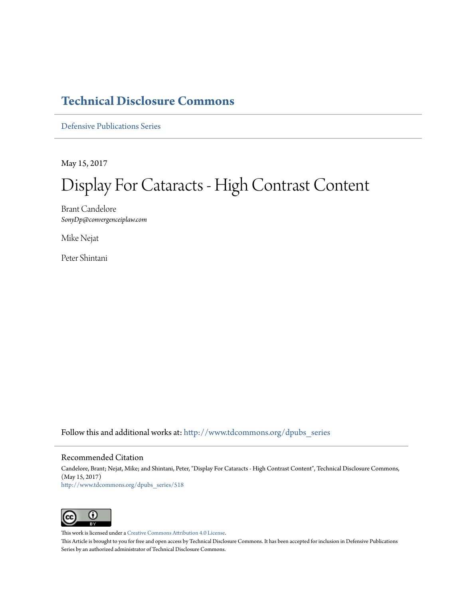### **[Technical Disclosure Commons](http://www.tdcommons.org?utm_source=www.tdcommons.org%2Fdpubs_series%2F518&utm_medium=PDF&utm_campaign=PDFCoverPages)**

[Defensive Publications Series](http://www.tdcommons.org/dpubs_series?utm_source=www.tdcommons.org%2Fdpubs_series%2F518&utm_medium=PDF&utm_campaign=PDFCoverPages)

May 15, 2017

# Display For Cataracts - High Contrast Content

Brant Candelore *SonyDp@convergenceiplaw.com*

Mike Nejat

Peter Shintani

Follow this and additional works at: [http://www.tdcommons.org/dpubs\\_series](http://www.tdcommons.org/dpubs_series?utm_source=www.tdcommons.org%2Fdpubs_series%2F518&utm_medium=PDF&utm_campaign=PDFCoverPages)

### Recommended Citation

Candelore, Brant; Nejat, Mike; and Shintani, Peter, "Display For Cataracts - High Contrast Content", Technical Disclosure Commons, (May 15, 2017) [http://www.tdcommons.org/dpubs\\_series/518](http://www.tdcommons.org/dpubs_series/518?utm_source=www.tdcommons.org%2Fdpubs_series%2F518&utm_medium=PDF&utm_campaign=PDFCoverPages)



This work is licensed under a [Creative Commons Attribution 4.0 License.](http://creativecommons.org/licenses/by/4.0/deed.en_US)

This Article is brought to you for free and open access by Technical Disclosure Commons. It has been accepted for inclusion in Defensive Publications Series by an authorized administrator of Technical Disclosure Commons.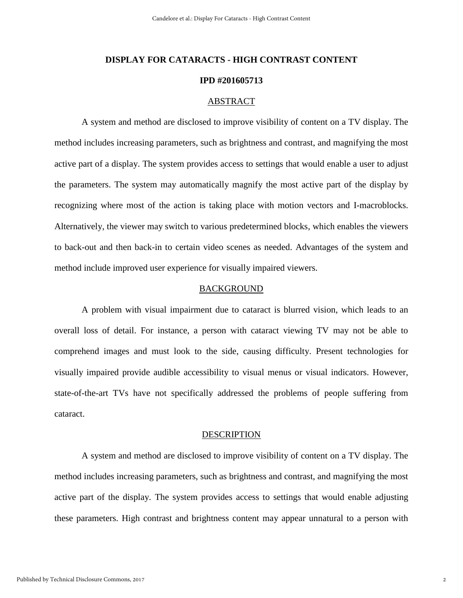## **DISPLAY FOR CATARACTS - HIGH CONTRAST CONTENT IPD #201605713**

### ABSTRACT

A system and method are disclosed to improve visibility of content on a TV display. The method includes increasing parameters, such as brightness and contrast, and magnifying the most active part of a display. The system provides access to settings that would enable a user to adjust the parameters. The system may automatically magnify the most active part of the display by recognizing where most of the action is taking place with motion vectors and I-macroblocks. Alternatively, the viewer may switch to various predetermined blocks, which enables the viewers to back-out and then back-in to certain video scenes as needed. Advantages of the system and method include improved user experience for visually impaired viewers.

### BACKGROUND

A problem with visual impairment due to cataract is blurred vision, which leads to an overall loss of detail. For instance, a person with cataract viewing TV may not be able to comprehend images and must look to the side, causing difficulty. Present technologies for visually impaired provide audible accessibility to visual menus or visual indicators. However, state-of-the-art TVs have not specifically addressed the problems of people suffering from cataract.

#### **DESCRIPTION**

A system and method are disclosed to improve visibility of content on a TV display. The method includes increasing parameters, such as brightness and contrast, and magnifying the most active part of the display. The system provides access to settings that would enable adjusting these parameters. High contrast and brightness content may appear unnatural to a person with